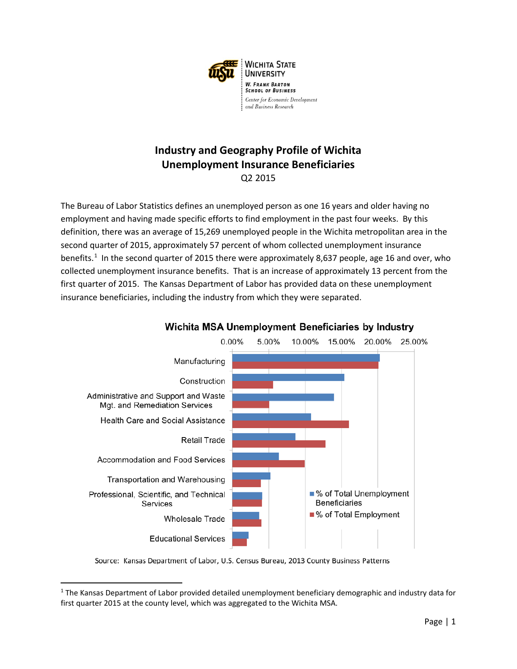

#### **Industry and Geography Profile of Wichita Unemployment Insurance Beneficiaries** Q2 2015

The Bureau of Labor Statistics defines an unemployed person as one 16 years and older having no employment and having made specific efforts to find employment in the past four weeks. By this definition, there was an average of 15,269 unemployed people in the Wichita metropolitan area in the second quarter of 2015, approximately 57 percent of whom collected unemployment insurance benefits.<sup>[1](#page-0-0)</sup> In the second quarter of 2015 there were approximately 8,637 people, age 16 and over, who collected unemployment insurance benefits. That is an increase of approximately 13 percent from the first quarter of 2015. The Kansas Department of Labor has provided data on these unemployment insurance beneficiaries, including the industry from which they were separated.



#### Wichita MSA Unemployment Beneficiaries by Industry

Source: Kansas Department of Labor, U.S. Census Bureau, 2013 County Business Patterns

 $\overline{\phantom{a}}$ 

<span id="page-0-0"></span><sup>1</sup> The Kansas Department of Labor provided detailed unemployment beneficiary demographic and industry data for first quarter 2015 at the county level, which was aggregated to the Wichita MSA.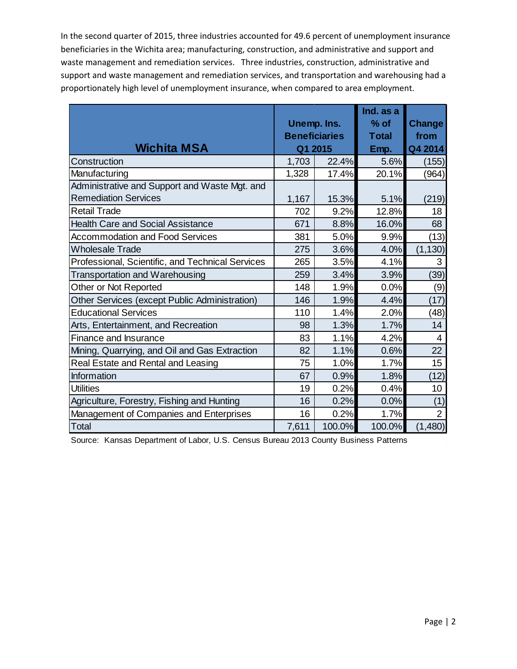In the second quarter of 2015, three industries accounted for 49.6 percent of unemployment insurance beneficiaries in the Wichita area; manufacturing, construction, and administrative and support and waste management and remediation services. Three industries, construction, administrative and support and waste management and remediation services, and transportation and warehousing had a proportionately high level of unemployment insurance, when compared to area employment.

|                                                  |                      |        | Ind. as a    |                |
|--------------------------------------------------|----------------------|--------|--------------|----------------|
|                                                  | Unemp. Ins.          |        | $%$ of       | Change         |
|                                                  | <b>Beneficiaries</b> |        | <b>Total</b> | from           |
| <b>Wichita MSA</b>                               | Q1 2015              |        | Emp.         | Q4 2014        |
| Construction                                     | 1,703                | 22.4%  | 5.6%         | (155)          |
| Manufacturing                                    | 1,328                | 17.4%  | 20.1%        | (964)          |
| Administrative and Support and Waste Mgt. and    |                      |        |              |                |
| <b>Remediation Services</b>                      | 1,167                | 15.3%  | 5.1%         | (219)          |
| <b>Retail Trade</b>                              | 702                  | 9.2%   | 12.8%        | 18             |
| <b>Health Care and Social Assistance</b>         | 671                  | 8.8%   | 16.0%        | 68             |
| <b>Accommodation and Food Services</b>           | 381                  | 5.0%   | 9.9%         | (13)           |
| <b>Wholesale Trade</b>                           | 275                  | 3.6%   | 4.0%         | (1, 130)       |
| Professional, Scientific, and Technical Services | 265                  | 3.5%   | 4.1%         | 3              |
| Transportation and Warehousing                   | 259                  | 3.4%   | 3.9%         | (39)           |
| Other or Not Reported                            | 148                  | 1.9%   | 0.0%         | (9)            |
| Other Services (except Public Administration)    | 146                  | 1.9%   | 4.4%         | (17)           |
| <b>Educational Services</b>                      | 110                  | 1.4%   | 2.0%         | (48)           |
| Arts, Entertainment, and Recreation              | 98                   | 1.3%   | 1.7%         | 14             |
| Finance and Insurance                            | 83                   | 1.1%   | 4.2%         | $\overline{4}$ |
| Mining, Quarrying, and Oil and Gas Extraction    | 82                   | 1.1%   | 0.6%         | 22             |
| Real Estate and Rental and Leasing               | 75                   | 1.0%   | 1.7%         | 15             |
| Information                                      | 67                   | 0.9%   | 1.8%         | (12)           |
| <b>Utilities</b>                                 | 19                   | 0.2%   | 0.4%         | 10             |
| Agriculture, Forestry, Fishing and Hunting       | 16                   | 0.2%   | 0.0%         | (1)            |
| Management of Companies and Enterprises          | 16                   | 0.2%   | 1.7%         | $\overline{2}$ |
| Total                                            | 7,611                | 100.0% | 100.0%       | (1,480)        |

Source: Kansas Department of Labor, U.S. Census Bureau 2013 County Business Patterns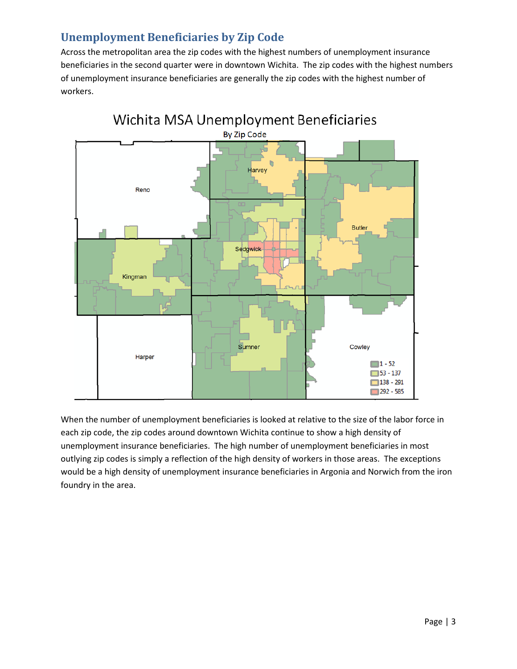## **Unemployment Beneficiaries by Zip Code**

Across the metropolitan area the zip codes with the highest numbers of unemployment insurance beneficiaries in the second quarter were in downtown Wichita. The zip codes with the highest numbers of unemployment insurance beneficiaries are generally the zip codes with the highest number of workers.



When the number of unemployment beneficiaries is looked at relative to the size of the labor force in each zip code, the zip codes around downtown Wichita continue to show a high density of unemployment insurance beneficiaries. The high number of unemployment beneficiaries in most outlying zip codes is simply a reflection of the high density of workers in those areas. The exceptions would be a high density of unemployment insurance beneficiaries in Argonia and Norwich from the iron foundry in the area.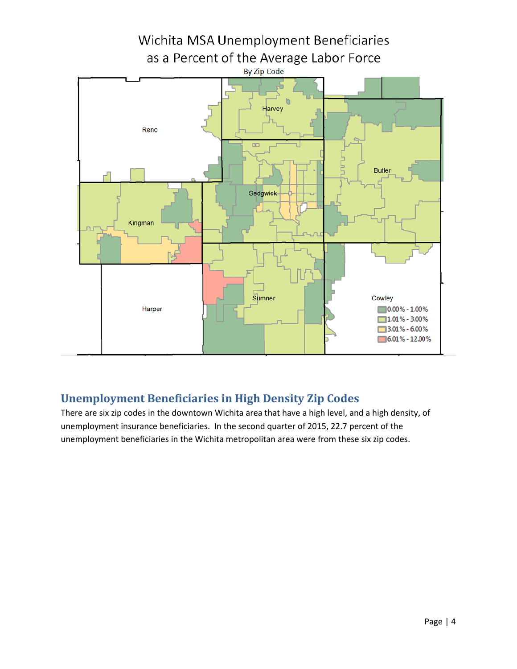

## **Unemployment Beneficiaries in High Density Zip Codes**

There are six zip codes in the downtown Wichita area that have a high level, and a high density, of unemployment insurance beneficiaries. In the second quarter of 2015, 22.7 percent of the unemployment beneficiaries in the Wichita metropolitan area were from these six zip codes.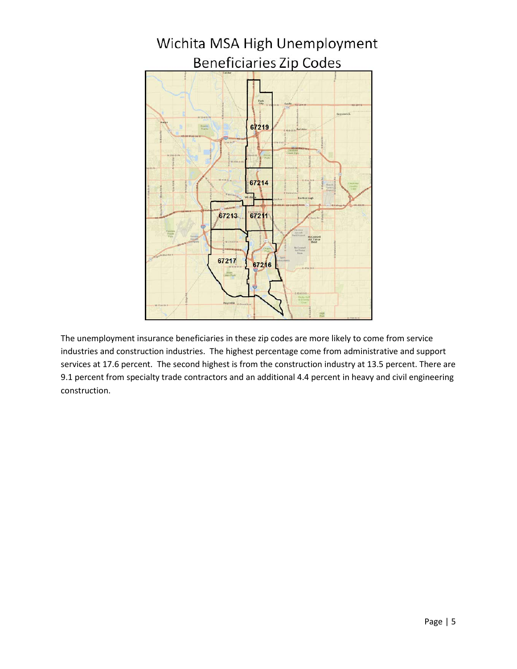

The unemployment insurance beneficiaries in these zip codes are more likely to come from service industries and construction industries. The highest percentage come from administrative and support services at 17.6 percent. The second highest is from the construction industry at 13.5 percent. There are 9.1 percent from specialty trade contractors and an additional 4.4 percent in heavy and civil engineering construction.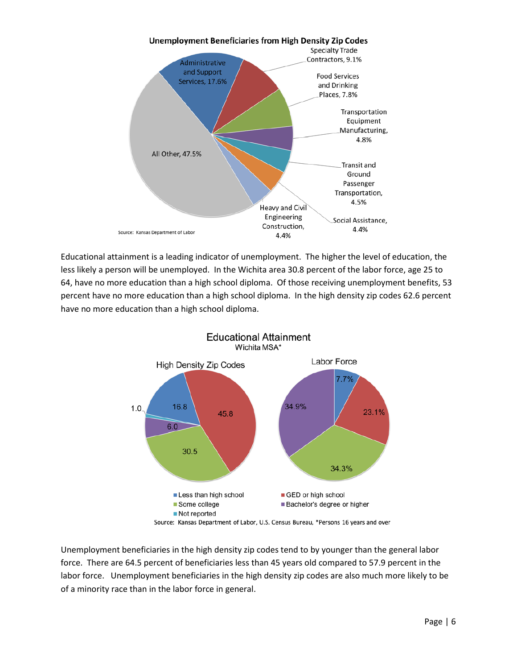

Educational attainment is a leading indicator of unemployment. The higher the level of education, the less likely a person will be unemployed. In the Wichita area 30.8 percent of the labor force, age 25 to 64, have no more education than a high school diploma. Of those receiving unemployment benefits, 53 percent have no more education than a high school diploma. In the high density zip codes 62.6 percent have no more education than a high school diploma.



Unemployment beneficiaries in the high density zip codes tend to by younger than the general labor force. There are 64.5 percent of beneficiaries less than 45 years old compared to 57.9 percent in the labor force. Unemployment beneficiaries in the high density zip codes are also much more likely to be of a minority race than in the labor force in general.